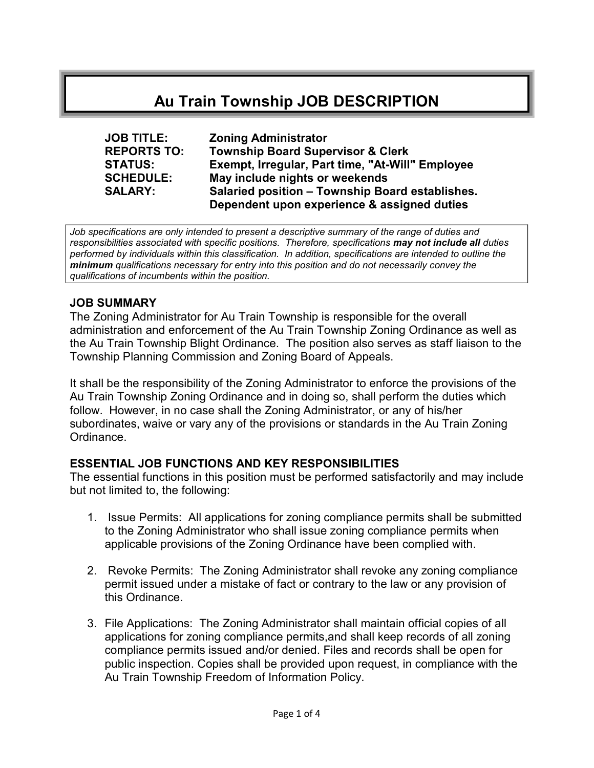# Au Train Township JOB DESCRIPTION

| <b>JOB TITLE:</b>  | <b>Zoning Administrator</b>                      |
|--------------------|--------------------------------------------------|
| <b>REPORTS TO:</b> | <b>Township Board Supervisor &amp; Clerk</b>     |
| <b>STATUS:</b>     | Exempt, Irregular, Part time, "At-Will" Employee |
| <b>SCHEDULE:</b>   | May include nights or weekends                   |
| <b>SALARY:</b>     | Salaried position - Township Board establishes.  |
|                    | Dependent upon experience & assigned duties      |

Job specifications are only intended to present a descriptive summary of the range of duties and responsibilities associated with specific positions. Therefore, specifications may not include all duties performed by individuals within this classification. In addition, specifications are intended to outline the minimum qualifications necessary for entry into this position and do not necessarily convey the qualifications of incumbents within the position.

#### JOB SUMMARY

The Zoning Administrator for Au Train Township is responsible for the overall administration and enforcement of the Au Train Township Zoning Ordinance as well as the Au Train Township Blight Ordinance. The position also serves as staff liaison to the Township Planning Commission and Zoning Board of Appeals.

It shall be the responsibility of the Zoning Administrator to enforce the provisions of the Au Train Township Zoning Ordinance and in doing so, shall perform the duties which follow. However, in no case shall the Zoning Administrator, or any of his/her subordinates, waive or vary any of the provisions or standards in the Au Train Zoning Ordinance.

#### ESSENTIAL JOB FUNCTIONS AND KEY RESPONSIBILITIES

The essential functions in this position must be performed satisfactorily and may include but not limited to, the following:

- 1. Issue Permits: All applications for zoning compliance permits shall be submitted to the Zoning Administrator who shall issue zoning compliance permits when applicable provisions of the Zoning Ordinance have been complied with.
- 2. Revoke Permits: The Zoning Administrator shall revoke any zoning compliance permit issued under a mistake of fact or contrary to the law or any provision of this Ordinance.
- 3. File Applications: The Zoning Administrator shall maintain official copies of all applications for zoning compliance permits,and shall keep records of all zoning compliance permits issued and/or denied. Files and records shall be open for public inspection. Copies shall be provided upon request, in compliance with the Au Train Township Freedom of Information Policy.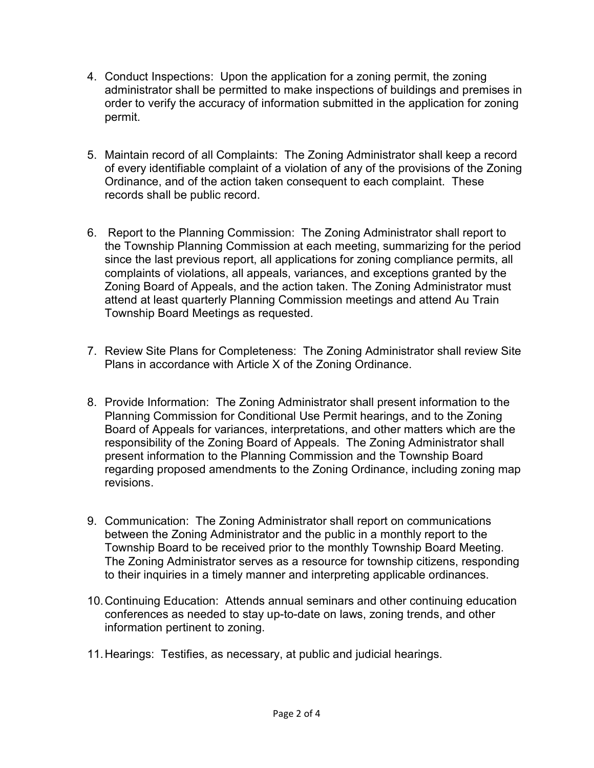- 4. Conduct Inspections: Upon the application for a zoning permit, the zoning administrator shall be permitted to make inspections of buildings and premises in order to verify the accuracy of information submitted in the application for zoning permit.
- 5. Maintain record of all Complaints: The Zoning Administrator shall keep a record of every identifiable complaint of a violation of any of the provisions of the Zoning Ordinance, and of the action taken consequent to each complaint. These records shall be public record.
- 6. Report to the Planning Commission: The Zoning Administrator shall report to the Township Planning Commission at each meeting, summarizing for the period since the last previous report, all applications for zoning compliance permits, all complaints of violations, all appeals, variances, and exceptions granted by the Zoning Board of Appeals, and the action taken. The Zoning Administrator must attend at least quarterly Planning Commission meetings and attend Au Train Township Board Meetings as requested.
- 7. Review Site Plans for Completeness: The Zoning Administrator shall review Site Plans in accordance with Article X of the Zoning Ordinance.
- 8. Provide Information: The Zoning Administrator shall present information to the Planning Commission for Conditional Use Permit hearings, and to the Zoning Board of Appeals for variances, interpretations, and other matters which are the responsibility of the Zoning Board of Appeals. The Zoning Administrator shall present information to the Planning Commission and the Township Board regarding proposed amendments to the Zoning Ordinance, including zoning map revisions.
- 9. Communication: The Zoning Administrator shall report on communications between the Zoning Administrator and the public in a monthly report to the Township Board to be received prior to the monthly Township Board Meeting. The Zoning Administrator serves as a resource for township citizens, responding to their inquiries in a timely manner and interpreting applicable ordinances.
- 10.Continuing Education: Attends annual seminars and other continuing education conferences as needed to stay up-to-date on laws, zoning trends, and other information pertinent to zoning.
- 11.Hearings: Testifies, as necessary, at public and judicial hearings.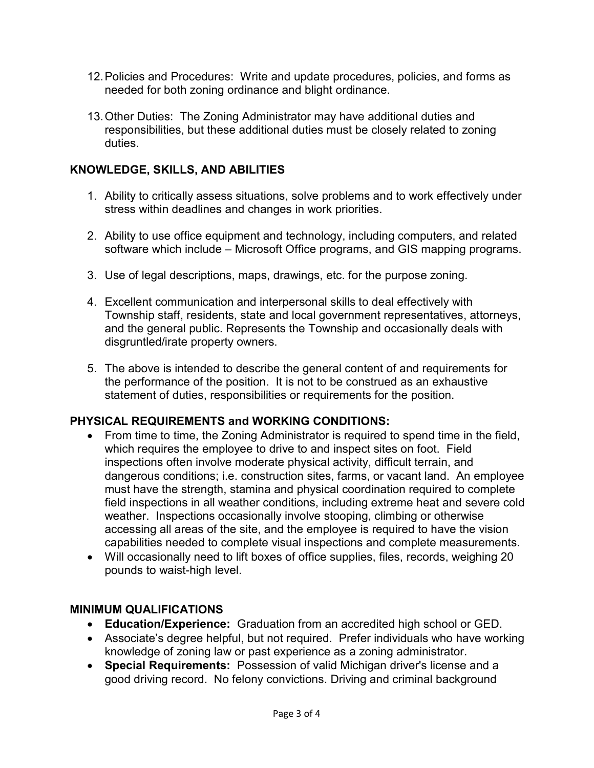- 12.Policies and Procedures: Write and update procedures, policies, and forms as needed for both zoning ordinance and blight ordinance.
- 13.Other Duties: The Zoning Administrator may have additional duties and responsibilities, but these additional duties must be closely related to zoning duties.

# KNOWLEDGE, SKILLS, AND ABILITIES

- 1. Ability to critically assess situations, solve problems and to work effectively under stress within deadlines and changes in work priorities.
- 2. Ability to use office equipment and technology, including computers, and related software which include – Microsoft Office programs, and GIS mapping programs.
- 3. Use of legal descriptions, maps, drawings, etc. for the purpose zoning.
- 4. Excellent communication and interpersonal skills to deal effectively with Township staff, residents, state and local government representatives, attorneys, and the general public. Represents the Township and occasionally deals with disgruntled/irate property owners.
- 5. The above is intended to describe the general content of and requirements for the performance of the position. It is not to be construed as an exhaustive statement of duties, responsibilities or requirements for the position.

# PHYSICAL REQUIREMENTS and WORKING CONDITIONS:

- From time to time, the Zoning Administrator is required to spend time in the field, which requires the employee to drive to and inspect sites on foot. Field inspections often involve moderate physical activity, difficult terrain, and dangerous conditions; i.e. construction sites, farms, or vacant land. An employee must have the strength, stamina and physical coordination required to complete field inspections in all weather conditions, including extreme heat and severe cold weather. Inspections occasionally involve stooping, climbing or otherwise accessing all areas of the site, and the employee is required to have the vision capabilities needed to complete visual inspections and complete measurements.
- Will occasionally need to lift boxes of office supplies, files, records, weighing 20 pounds to waist-high level.

#### MINIMUM QUALIFICATIONS

- Education/Experience: Graduation from an accredited high school or GED.
- Associate's degree helpful, but not required. Prefer individuals who have working knowledge of zoning law or past experience as a zoning administrator.
- Special Requirements: Possession of valid Michigan driver's license and a good driving record. No felony convictions. Driving and criminal background